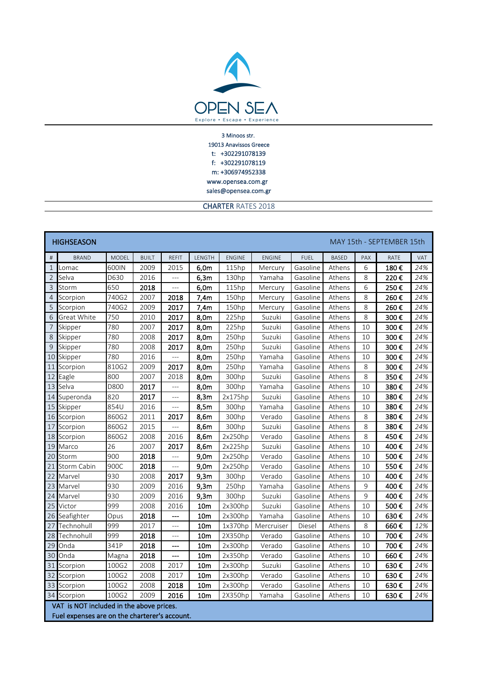

sales@opensea.com.gr f: +302291078119 m: +306974952338 www.opensea.com.gr 3 Minoos str. 19013 Anavissos Greece t: +302291078139

CHARTER RATES 2018

| <b>HIGHSEASON</b><br>MAY 15th - SEPTEMBER 15th                                            |                    |              |              |                |                 |               |               |             |              |         |      |     |
|-------------------------------------------------------------------------------------------|--------------------|--------------|--------------|----------------|-----------------|---------------|---------------|-------------|--------------|---------|------|-----|
| $\#$                                                                                      | <b>BRAND</b>       | <b>MODEL</b> | <b>BUILT</b> | <b>REFIT</b>   | LENGTH          | <b>ENGINE</b> | <b>ENGINE</b> | <b>FUEL</b> | <b>BASED</b> | PAX     | RATE | VAT |
| $\mathbf{1}$                                                                              | Lomac              | 600IN        | 2009         | 2015           | 6,0m            | 115hp         | Mercury       | Gasoline    | Athens       | 6       | 180€ | 24% |
| $\overline{2}$                                                                            | Selva              | D630         | 2016         | $\overline{a}$ | 6,3m            | 130hp         | Yamaha        | Gasoline    | Athens       | 8       | 220€ | 24% |
| $\overline{3}$                                                                            | Storm              | 650          | 2018         | ---            | 6,0m            | 115hp         | Mercury       | Gasoline    | Athens       | 6       | 250€ | 24% |
| $\sqrt{4}$                                                                                | Scorpion           | 740G2        | 2007         | 2018           | 7,4m            | 150hp         | Mercury       | Gasoline    | Athens       | 8       | 260€ | 24% |
| 5                                                                                         | Scorpion           | 740G2        | 2009         | 2017           | 7,4m            | 150hp         | Mercury       | Gasoline    | Athens       | 8       | 260€ | 24% |
| 6                                                                                         | Great White        | 750          | 2010         | 2017           | 8,0m            | 225hp         | Suzuki        | Gasoline    | Athens       | 8       | 300€ | 24% |
| $\overline{\phantom{a}}$                                                                  | Skipper            | 780          | 2007         | 2017           | 8,0m            | 225hp         | Suzuki        | Gasoline    | Athens       | 10      | 300€ | 24% |
| 8                                                                                         | Skipper            | 780          | 2008         | 2017           | 8,0m            | 250hp         | Suzuki        | Gasoline    | Athens       | 10      | 300€ | 24% |
| 9                                                                                         | Skipper            | 780          | 2008         | 2017           | 8,0m            | 250hp         | Suzuki        | Gasoline    | Athens       | 10      | 300€ | 24% |
| 10                                                                                        | Skipper            | 780          | 2016         | $\overline{a}$ | 8,0m            | 250hp         | Yamaha        | Gasoline    | Athens       | 10      | 300€ | 24% |
| 11                                                                                        | Scorpion           | 810G2        | 2009         | 2017           | 8,0m            | 250hp         | Yamaha        | Gasoline    | Athens       | 8       | 300€ | 24% |
| 12                                                                                        | Eagle              | 800          | 2007         | 2018           | 8,0m            | 300hp         | Suzuki        | Gasoline    | Athens       | 8       | 350€ | 24% |
| 13                                                                                        | Selva              | D800         | 2017         | ---            | 8,0m            | 300hp         | Yamaha        | Gasoline    | Athens       | 10      | 380€ | 24% |
| 14                                                                                        | Superonda          | 820          | 2017         | $\overline{a}$ | 8,3m            | 2x175hp       | Suzuki        | Gasoline    | Athens       | 10      | 380€ | 24% |
|                                                                                           | 15 Skipper         | 854U         | 2016         | $\overline{a}$ | 8,5m            | 300hp         | Yamaha        | Gasoline    | Athens       | 10      | 380€ | 24% |
|                                                                                           | 16 Scorpion        | 860G2        | 2011         | 2017           | 8,6m            | 300hp         | Verado        | Gasoline    | Athens       | 8       | 380€ | 24% |
| 17                                                                                        | Scorpion           | 860G2        | 2015         | $\overline{a}$ | 8,6m            | 300hp         | Suzuki        | Gasoline    | Athens       | 8       | 380€ | 24% |
| 18                                                                                        | Scorpion           | 860G2        | 2008         | 2016           | 8,6m            | 2x250hp       | Verado        | Gasoline    | Athens       | 8       | 450€ | 24% |
| 19                                                                                        | Marco              | 26           | 2007         | 2017           | 8,6m            | 2x225hp       | Suzuki        | Gasoline    | Athens       | 10      | 400€ | 24% |
| 20                                                                                        | Storm              | 900          | 2018         | $---$          | 9,0m            | 2x250hp       | Verado        | Gasoline    | Athens       | 10      | 500€ | 24% |
| 21                                                                                        | <b>Storm Cabin</b> | 900C         | 2018         | $---$          | 9,0m            | 2x250hp       | Verado        | Gasoline    | Athens       | 10      | 550€ | 24% |
| 22                                                                                        | Marvel             | 930          | 2008         | 2017           | 9,3m            | 300hp         | Verado        | Gasoline    | Athens       | 10      | 400€ | 24% |
| 23                                                                                        | Marvel             | 930          | 2009         | 2016           | 9,3m            | 250hp         | Yamaha        | Gasoline    | Athens       | 9       | 400€ | 24% |
| 24                                                                                        | Marvel             | 930          | 2009         | 2016           | 9,3m            | 300hp         | Suzuki        | Gasoline    | Athens       | 9       | 400€ | 24% |
| 25                                                                                        | Victor             | 999          | 2008         | 2016           | 10 <sub>m</sub> | 2x300hp       | Suzuki        | Gasoline    | Athens       | 10      | 500€ | 24% |
|                                                                                           | 26 Seafighter      | Opus         | 2018         | ---            | 10 <sub>m</sub> | 2x300hp       | Yamaha        | Gasoline    | Athens       | 10      | 630€ | 24% |
| 27                                                                                        | Technohull         | 999          | 2017         | ---            | 10 <sub>m</sub> | 1x370hp       | Mercruiser    | Diesel      | Athens       | $\,8\,$ | 660€ | 12% |
| 28                                                                                        | Technohull         | 999          | 2018         | ---            | 10 <sub>m</sub> | 2X350hp       | Verado        | Gasoline    | Athens       | 10      | 700€ | 24% |
| 29                                                                                        | Onda               | 341P         | 2018         | ---            | 10 <sub>m</sub> | 2x300hp       | Verado        | Gasoline    | Athens       | 10      | 700€ | 24% |
| 30                                                                                        | Onda               | Magna        | 2018         | ---            | 10 <sub>m</sub> | 2x350hp       | Verado        | Gasoline    | Athens       | 10      | 660€ | 24% |
| 31                                                                                        | Scorpion           | 100G2        | 2008         | 2017           | 10 <sub>m</sub> | 2x300hp       | Suzuki        | Gasoline    | Athens       | 10      | 630€ | 24% |
| 32                                                                                        | Scorpion           | 100G2        | 2008         | 2017           | 10 <sub>m</sub> | 2x300hp       | Verado        | Gasoline    | Athens       | 10      | 630€ | 24% |
|                                                                                           | 33 Scorpion        | 100G2        | 2008         | 2018           | 10 <sub>m</sub> | 2x300hp       | Verado        | Gasoline    | Athens       | 10      | 630€ | 24% |
|                                                                                           | 34 Scorpion        | 100G2        | 2009         | 2016           | 10 <sub>m</sub> | 2X350hp       | Yamaha        | Gasoline    | Athens       | 10      | 630€ | 24% |
| VAT is NOT included in the above prices.<br>Fuel expenses are on the charterer's account. |                    |              |              |                |                 |               |               |             |              |         |      |     |